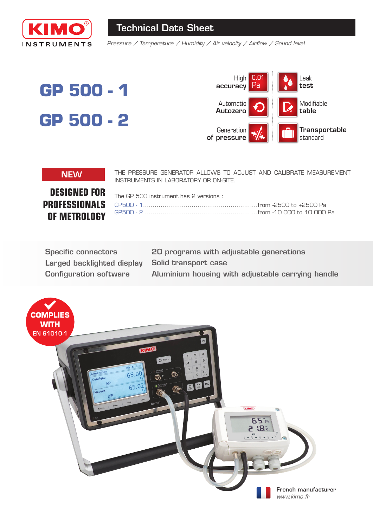

# Technical Data Sheet

*Pressure / Temperature / Humidity / Air velocity / Airflow / Sound level*

# **GP 500 - 1 GP 500 - 2**



NEW THE PRESSURE GENERATOR ALLOWS TO ADJUST AND CALIBRATE MEASUREMENT INSTRUMENTS IN LABORATORY OR ON-SITE.

**DESIGNED FOR PROFESSIONALS OF METROLOGY** 

| GP500 - 2 ……………………………………………………from -10 000 to 10 000 Pa |
|---------------------------------------------------------|
|                                                         |

Specific connectors Larged backlighted display Configuration software

20 programs with adjustable generations Solid transport case Aluminium housing with adjustable carrying handle

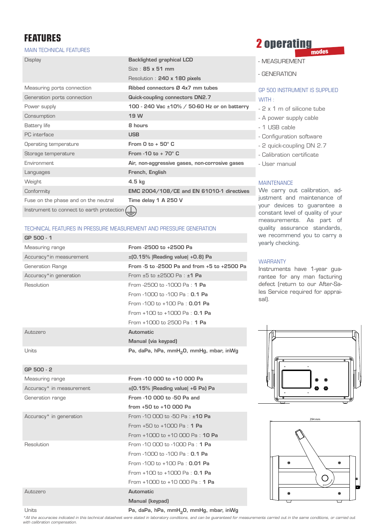GP 500 - 2

#### MAIN TECHNICAL FEATURES

| <b>Display</b>                            | <b>Backlighted graphical LCD</b>                 |
|-------------------------------------------|--------------------------------------------------|
|                                           | $Size: 85 \times 51$ mm                          |
|                                           | Resolution: 240 x 180 pixels                     |
| Measuring ports connection                | Ribbed connectors Ø 4x7 mm tubes                 |
| Generation ports connection               | Quick-coupling connectors DN2.7                  |
| Power supply                              | 100 - 240 Vac ±10% / 50-60 Hz or on batterry     |
| Consumption                               | 19 W                                             |
| Battery life                              | 8 hours                                          |
| PC interface                              | <b>USB</b>                                       |
| Operating temperature                     | From $Q$ to $+$ 50 $^{\circ}$ C                  |
| Storage temperature                       | From $-10$ to $+70^\circ$ C                      |
| Fnvironment.                              | Air, non-aggressive gases, non-corrosive gases   |
| Languages                                 | French, English                                  |
| Weight                                    | $4.5$ kg                                         |
| Conformity                                | <b>EMC 2004/108/CE and EN 61010-1 directives</b> |
| Fuse on the phase and on the neutral      | Time delay 1 A 250 V                             |
| Instrument to connect to earth protection |                                                  |

#### TECHNICAL FEATURES IN PRESSURE MEASUREMENT AND PRESSURE GENERATION

| GP 500 - 1              |                                                     |
|-------------------------|-----------------------------------------------------|
| Measuring range         | From -2500 to +2500 Pa                              |
| Accuracy*in measurement | $\pm$ [0.15%   Reading value   +0.8] Pa             |
| Generation Range        | From -5 to -2500 Pa and from +5 to +2500 Pa         |
| Accuracy*in generation  | From $+5$ to $+2500$ Pa : $+1$ Pa                   |
| Resolution              | From -2500 to -1000 Pa : 1 Pa                       |
|                         | From -1000 to -100 Pa : <b>0.1 Pa</b>               |
|                         | From -100 to +100 Pa : 0.01 Pa                      |
|                         | From $+100$ to $+1000$ Pa : 0.1 Pa                  |
|                         | From $+1000$ to 2500 Pa : 1 Pa                      |
| Autozero                | Automatic                                           |
|                         | Manual (via keypad)                                 |
| Units                   | Pa, daPa, hPa, mmH <sub>2</sub> 0, mmHg, mbar, inWg |

## Measuring range The Measuring range From -10 000 to +10 000 Pa Accuracy\* in measurement  $\pm$ (0.15% |Reading value) +6 Pa) Pa Generation range **From -10 000 to -50 Pa and** from +50 to +10 000 Pa Accuracy\* in generation From -10 000 to -50 Pa :  $\pm$ 10 Pa From +50 to +1000 Pa : 1 Pa From +1000 to +10 000 Pa : 10 Pa Resolution **From -10 000 to -1000 Pa : 1 Pa** From -1000 to -100 Pa : 0.1 Pa From -100 to +100 Pa : 0.01 Pa From +100 to +1000 Pa : 0.1 Pa From +1000 to +10 000 Pa : 1 Pa Autozero Automatic Manual (keypad)

# **FEATURES**<br>MAIN TECHNICAL FEATURES

- MEASUREMENT
- GENERATION

### GP 500 INSTRUMENT IS SUPPLIED WITH :

- 2 x 1 m of silicone tube
- A power supply cable
- 1 USB cable
- Configuration software
- 2 quick-coupling DN 2.7
- Calibration certificate
- User manual

#### **MAINTENANCE**

We carry out calibration, adjustment and maintenance of your devices to guarantee a constant level of quality of your measurements. As part of quality assurance standards, we recommend you to carry a yearly checking.

#### **WARRANTY**

Instruments have 1-year guarantee for any man facturing defect (return to our After-Sales Service required for appraisal).





### Units **Pa, daPa, hPa, mmH<sub>2</sub>O, mmHg, mbar, inWg**

\*All the accuracies indicated in this technical datasheet were stated in laboratory conditions, and can be guaranteed for measurements carried out in the same conditions, or carried out *with calibration compensation.*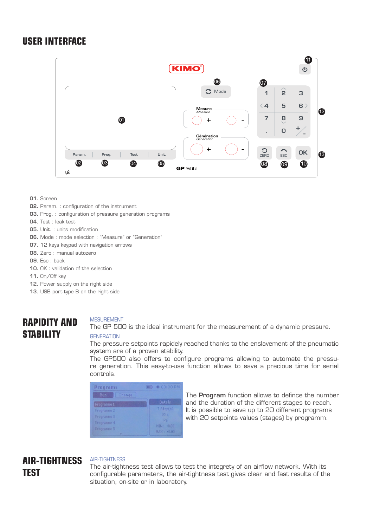# **USER INTERFACE**



- 01. Screen
- 02. Param. : configuration of the instrument
- **03.** Prog. : configuration of pressure generation programs
- 04. Test : leak test
- 05. Unit. : units modification
- 06. Mode : mode selection : ''Measure'' or ''Generation''
- 07. 12 keys keypad with navigation arrows
- 08. Zero : manual autozero
- 09. Esc : back
- 10. OK : validation of the selection
- 11. On/Off key
- 12. Power supply on the right side
- 13. USB port type B on the right side

# **RAPIDITY AND STABILITY**

#### MESUREMENT

The GP 500 is the ideal instrument for the measurement of a dynamic pressure.

#### **GENERATION**

The pressure setpoints rapidely reached thanks to the enslavement of the pneumatic system are of a proven stability.

The GP500 also offers to configure programs allowing to automate the pressure generation. This easy-to-use function allows to save a precious time for serial controls.

| Programs      | [iiii] - 1: 03:30 PM    |
|---------------|-------------------------|
| Run<br>Change |                         |
| Programme 1   | Details                 |
| Programme 2   | $7$ Step(s)             |
| Programme 3   | 05s                     |
| Programme 4   | <b>Pa</b><br>MIN: +0.00 |
| Programme 5   | MAX: +0.00              |

The **Program** function allows to defince the number and the duration of the different stages to reach. It is possible to save up to 20 different programs with 20 setpoints values (stages) by programm.

# **AIR-TIGHTNESS TEST**

#### AIR-TIGHTNESS

The air-tightness test allows to test the integrety of an airflow network. With its configurable parameters, the air-tightness test gives clear and fast results of the situation, on-site or in laboratory.